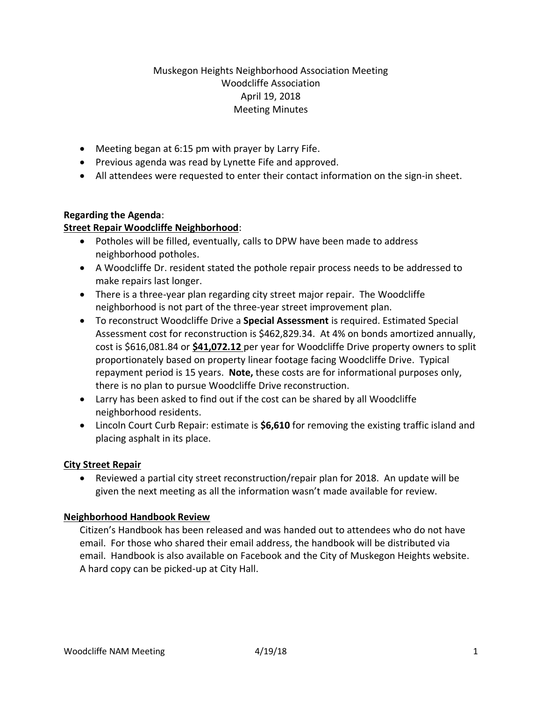# Muskegon Heights Neighborhood Association Meeting Woodcliffe Association April 19, 2018 Meeting Minutes

- Meeting began at 6:15 pm with prayer by Larry Fife.
- Previous agenda was read by Lynette Fife and approved.
- All attendees were requested to enter their contact information on the sign-in sheet.

## **Regarding the Agenda**:

## **Street Repair Woodcliffe Neighborhood**:

- Potholes will be filled, eventually, calls to DPW have been made to address neighborhood potholes.
- A Woodcliffe Dr. resident stated the pothole repair process needs to be addressed to make repairs last longer.
- There is a three-year plan regarding city street major repair. The Woodcliffe neighborhood is not part of the three-year street improvement plan.
- To reconstruct Woodcliffe Drive a **Special Assessment** is required. Estimated Special Assessment cost for reconstruction is \$462,829.34. At 4% on bonds amortized annually, cost is \$616,081.84 or **\$41,072.12** per year for Woodcliffe Drive property owners to split proportionately based on property linear footage facing Woodcliffe Drive. Typical repayment period is 15 years. **Note,** these costs are for informational purposes only, there is no plan to pursue Woodcliffe Drive reconstruction.
- Larry has been asked to find out if the cost can be shared by all Woodcliffe neighborhood residents.
- Lincoln Court Curb Repair: estimate is **\$6,610** for removing the existing traffic island and placing asphalt in its place.

## **City Street Repair**

• Reviewed a partial city street reconstruction/repair plan for 2018. An update will be given the next meeting as all the information wasn't made available for review.

## **Neighborhood Handbook Review**

Citizen's Handbook has been released and was handed out to attendees who do not have email. For those who shared their email address, the handbook will be distributed via email. Handbook is also available on Facebook and the City of Muskegon Heights website. A hard copy can be picked-up at City Hall.